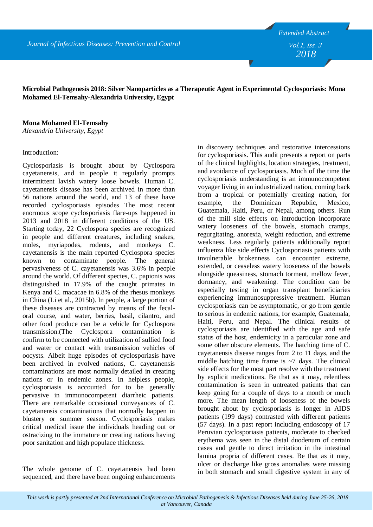*2018* Vol.1, Iss. 3

## **Microbial Pathogenesis 2018: Silver Nanoparticles as a Therapeutic Agent in Experimental Cyclosporiasis: Mona Mohamed El-Temsahy-Alexandria University, Egypt**

**Mona Mohamed El-Temsahy**

*Alexandria University, Egypt*

## Introduction:

Cyclosporiasis is brought about by Cyclospora cayetanensis, and in people it regularly prompts intermittent lavish watery loose bowels. Human C. cayetanensis disease has been archived in more than 56 nations around the world, and 13 of these have recorded cyclosporiasis episodes The most recent enormous scope cyclosporiasis flare-ups happened in 2013 and 2018 in different conditions of the US. Starting today, 22 Cyclospora species are recognized in people and different creatures, including snakes, moles, myriapodes, rodents, and monkeys C. cayetanensis is the main reported Cyclospora species known to contaminate people. The general pervasiveness of C. cayetanensis was 3.6% in people around the world. Of different species, C. papionis was distinguished in 17.9% of the caught primates in Kenya and C. macacae in 6.8% of the rhesus monkeys in China (Li et al., 2015b). In people, a large portion of these diseases are contracted by means of the fecaloral course, and water, berries, basil, cilantro, and other food produce can be a vehicle for Cyclospora transmission.(The Cyclospora contamination is confirm to be connected with utilization of sullied food and water or contact with transmission vehicles of oocysts. Albeit huge episodes of cyclosporiasis have been archived in evolved nations, C. cayetanensis contaminations are most normally detailed in creating nations or in endemic zones. In helpless people, cyclosporiasis is accounted for to be generally pervasive in immunocompetent diarrheic patients. There are remarkable occasional conveyances of C. cayetanensis contaminations that normally happen in blustery or summer season. Cyclosporiasis makes critical medical issue the individuals heading out or ostracizing to the immature or creating nations having poor sanitation and high populace thickness.

The whole genome of C. cayetanensis had been sequenced, and there have been ongoing enhancements in discovery techniques and restorative intercessions for cyclosporiasis. This audit presents a report on parts of the clinical highlights, location strategies, treatment, and avoidance of cyclosporiasis. Much of the time the cyclosporiasis understanding is an immunocompetent voyager living in an industrialized nation, coming back from a tropical or potentially creating nation, for example, the Dominican Republic, Mexico, Guatemala, Haiti, Peru, or Nepal, among others. Run of the mill side effects on introduction incorporate watery looseness of the bowels, stomach cramps, regurgitating, anorexia, weight reduction, and extreme weakness. Less regularly patients additionally report influenza like side effects Cyclosporiasis patients with invulnerable brokenness can encounter extreme, extended, or ceaseless watery looseness of the bowels alongside queasiness, stomach torment, mellow fever, dormancy, and weakening. The condition can be especially testing in organ transplant beneficiaries experiencing immunosuppressive treatment. Human cyclosporiasis can be asymptomatic, or go from gentle to serious in endemic nations, for example, Guatemala, Haiti, Peru, and Nepal. The clinical results of cyclosporiasis are identified with the age and safe status of the host, endemicity in a particular zone and some other obscure elements. The hatching time of C. cayetanensis disease ranges from 2 to 11 days, and the middle hatching time frame is  $\sim$ 7 days. The clinical side effects for the most part resolve with the treatment by explicit medications. Be that as it may, relentless contamination is seen in untreated patients that can keep going for a couple of days to a month or much more. The mean length of looseness of the bowels brought about by cyclosporiasis is longer in AIDS patients (199 days) contrasted with different patients (57 days). In a past report including endoscopy of 17 Peruvian cyclosporiasis patients, moderate to checked erythema was seen in the distal duodenum of certain cases and gentle to direct irritation in the intestinal lamina propria of different cases. Be that as it may, ulcer or discharge like gross anomalies were missing in both stomach and small digestive system in any of